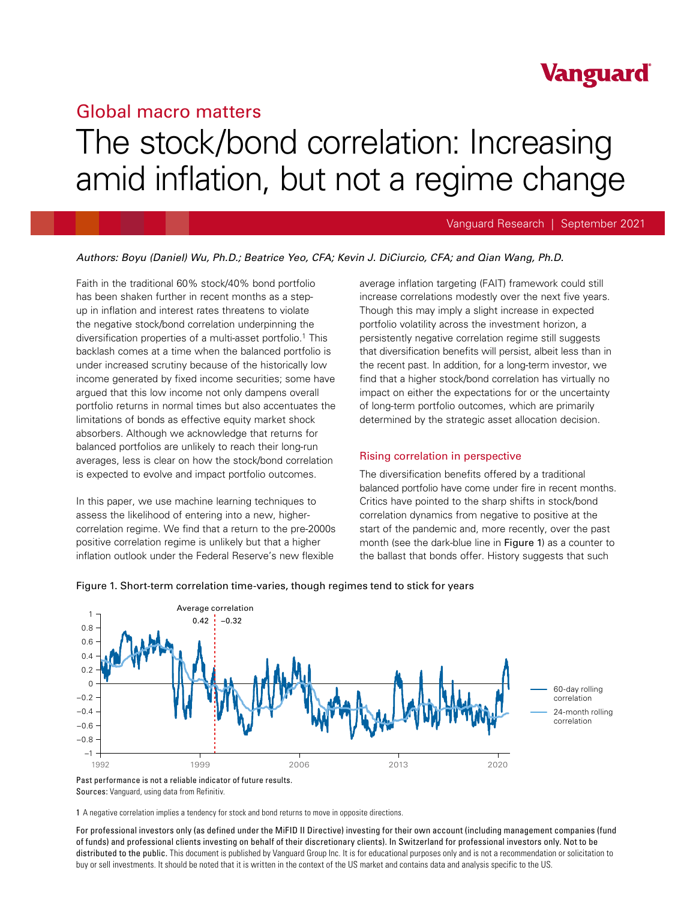# **Vanguard**

# Global macro matters The stock/bond correlation: Increasing amid inflation, but not a regime change

#### Vanguard Research | September 2021

#### *Authors: Boyu (Daniel) Wu, Ph.D.; Beatrice Yeo, CFA; Kevin J. DiCiurcio, CFA; and Qian Wang, Ph.D.*

Faith in the traditional 60% stock/40% bond portfolio has been shaken further in recent months as a stepup in inflation and interest rates threatens to violate the negative stock/bond correlation underpinning the diversification properties of a multi-asset portfolio.1 This backlash comes at a time when the balanced portfolio is under increased scrutiny because of the historically low income generated by fixed income securities; some have argued that this low income not only dampens overall portfolio returns in normal times but also accentuates the limitations of bonds as effective equity market shock absorbers. Although we acknowledge that returns for balanced portfolios are unlikely to reach their long-run averages, less is clear on how the stock/bond correlation is expected to evolve and impact portfolio outcomes.

In this paper, we use machine learning techniques to assess the likelihood of entering into a new, highercorrelation regime. We find that a return to the pre-2000s positive correlation regime is unlikely but that a higher inflation outlook under the Federal Reserve's new flexible

average inflation targeting (FAIT) framework could still increase correlations modestly over the next five years. Though this may imply a slight increase in expected portfolio volatility across the investment horizon, a persistently negative correlation regime still suggests that diversification benefits will persist, albeit less than in the recent past. In addition, for a long-term investor, we find that a higher stock/bond correlation has virtually no impact on either the expectations for or the uncertainty of long-term portfolio outcomes, which are primarily determined by the strategic asset allocation decision.

#### Rising correlation in perspective

The diversification benefits offered by a traditional balanced portfolio have come under fire in recent months. Critics have pointed to the sharp shifts in stock/bond correlation dynamics from negative to positive at the start of the pandemic and, more recently, over the past month (see the dark-blue line in Figure 1) as a counter to the ballast that bonds offer. History suggests that such



#### Figure 1. Short-term correlation time-varies, though regimes tend to stick for years

1 A negative correlation implies a tendency for stock and bond returns to move in opposite directions.

For professional investors only (as defined under the MiFID II Directive) investing for their own account (including management companies (fund of funds) and professional clients investing on behalf of their discretionary clients). In Switzerland for professional investors only. Not to be distributed to the public. This document is published by Vanguard Group Inc. It is for educational purposes only and is not a recommendation or solicitation to buy or sell investments. It should be noted that it is written in the context of the US market and contains data and analysis specific to the US.

Past performance is not a reliable indicator of future results. Sources: Vanguard, using data from Refinitiv.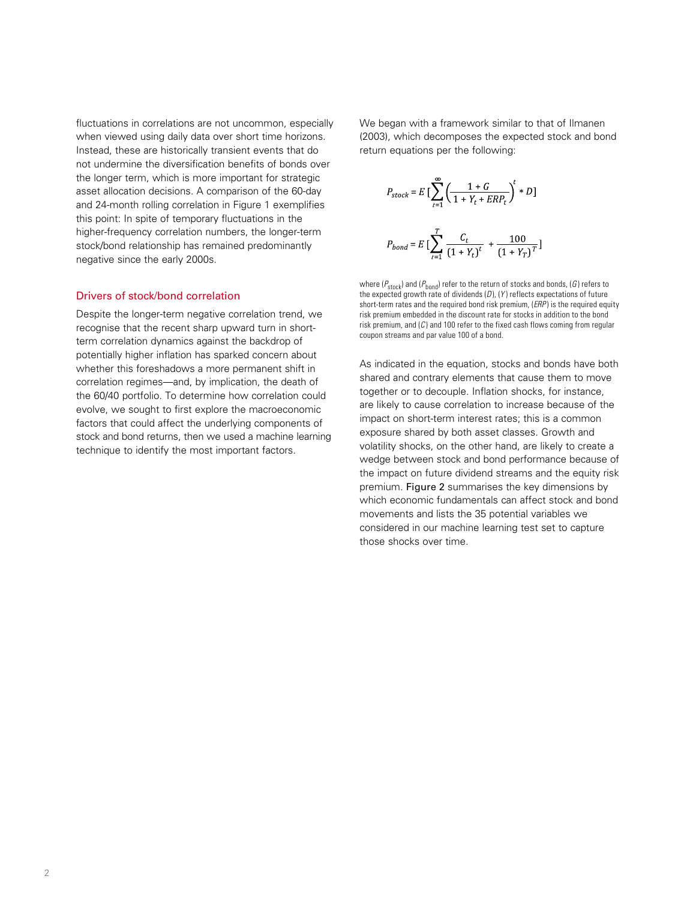fluctuations in correlations are not uncommon, especially when viewed using daily data over short time horizons. Instead, these are historically transient events that do not undermine the diversification benefits of bonds over the longer term, which is more important for strategic asset allocation decisions. A comparison of the 60-day and 24-month rolling correlation in Figure 1 exemplifies this point: In spite of temporary fluctuations in the higher-frequency correlation numbers, the longer-term stock/bond relationship has remained predominantly negative since the early 2000s.

#### Drivers of stock/bond correlation

Despite the longer-term negative correlation trend, we recognise that the recent sharp upward turn in shortterm correlation dynamics against the backdrop of potentially higher inflation has sparked concern about whether this foreshadows a more permanent shift in correlation regimes—and, by implication, the death of the 60/40 portfolio. To determine how correlation could evolve, we sought to first explore the macroeconomic factors that could affect the underlying components of stock and bond returns, then we used a machine learning technique to identify the most important factors.

We began with a framework similar to that of Ilmanen (2003), which decomposes the expected stock and bond return equations per the following:

$$
P_{stock} = E \left[ \sum_{t=1}^{\infty} \left( \frac{1+G}{1+Y_t + ERP_t} \right)^t * D \right]
$$
  

$$
P_{bond} = E \left[ \sum_{t=1}^{T} \frac{C_t}{(1+Y_t)^t} + \frac{100}{(1+Y_T)^T} \right]
$$

where  $(P_{\text{stock}})$  and  $(P_{\text{bond}})$  refer to the return of stocks and bonds, (*G*) refers to the expected growth rate of dividends (*D*), (*Y* ) reflects expectations of future short-term rates and the required bond risk premium, (*ERP* ) is the required equity risk premium embedded in the discount rate for stocks in addition to the bond risk premium, and (*C* ) and 100 refer to the fixed cash flows coming from regular coupon streams and par value 100 of a bond.

As indicated in the equation, stocks and bonds have both shared and contrary elements that cause them to move together or to decouple. Inflation shocks, for instance, are likely to cause correlation to increase because of the impact on short-term interest rates; this is a common exposure shared by both asset classes. Growth and volatility shocks, on the other hand, are likely to create a wedge between stock and bond performance because of the impact on future dividend streams and the equity risk premium. Figure 2 summarises the key dimensions by which economic fundamentals can affect stock and bond movements and lists the 35 potential variables we considered in our machine learning test set to capture those shocks over time.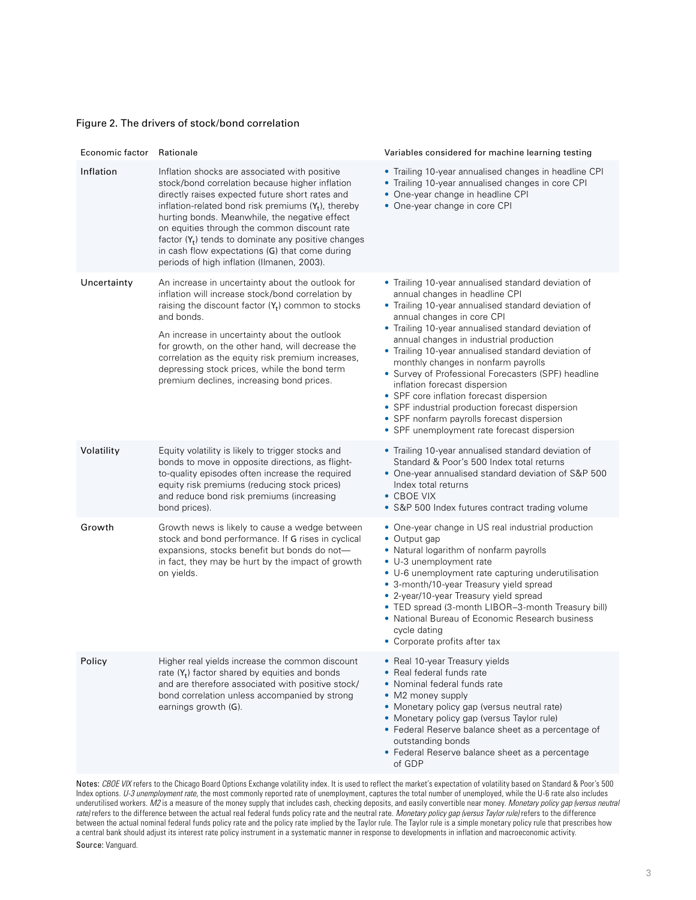## Figure 2. The drivers of stock/bond correlation

| Economic factor                                                                                                                                                            | Rationale                                                                                                                                                                                                                                                                                                                                                                                                                                                               | Variables considered for machine learning testing                                                                                                                                                                                                                                                                                                                                                                                                                                                                                                                                                                                                              |  |  |  |
|----------------------------------------------------------------------------------------------------------------------------------------------------------------------------|-------------------------------------------------------------------------------------------------------------------------------------------------------------------------------------------------------------------------------------------------------------------------------------------------------------------------------------------------------------------------------------------------------------------------------------------------------------------------|----------------------------------------------------------------------------------------------------------------------------------------------------------------------------------------------------------------------------------------------------------------------------------------------------------------------------------------------------------------------------------------------------------------------------------------------------------------------------------------------------------------------------------------------------------------------------------------------------------------------------------------------------------------|--|--|--|
| Inflation                                                                                                                                                                  | Inflation shocks are associated with positive<br>stock/bond correlation because higher inflation<br>directly raises expected future short rates and<br>inflation-related bond risk premiums $(Y_t)$ , thereby<br>hurting bonds. Meanwhile, the negative effect<br>on equities through the common discount rate<br>factor $(Y_t)$ tends to dominate any positive changes<br>in cash flow expectations (G) that come during<br>periods of high inflation (Ilmanen, 2003). | • Trailing 10-year annualised changes in headline CPI<br>• Trailing 10-year annualised changes in core CPI<br>• One-year change in headline CPI<br>• One-year change in core CPI                                                                                                                                                                                                                                                                                                                                                                                                                                                                               |  |  |  |
| Uncertainty                                                                                                                                                                | An increase in uncertainty about the outlook for<br>inflation will increase stock/bond correlation by<br>raising the discount factor $(Y_t)$ common to stocks<br>and bonds.<br>An increase in uncertainty about the outlook<br>for growth, on the other hand, will decrease the<br>correlation as the equity risk premium increases,<br>depressing stock prices, while the bond term<br>premium declines, increasing bond prices.                                       | • Trailing 10-year annualised standard deviation of<br>annual changes in headline CPI<br>• Trailing 10-year annualised standard deviation of<br>annual changes in core CPI<br>• Trailing 10-year annualised standard deviation of<br>annual changes in industrial production<br>• Trailing 10-year annualised standard deviation of<br>monthly changes in nonfarm payrolls<br>• Survey of Professional Forecasters (SPF) headline<br>inflation forecast dispersion<br>• SPF core inflation forecast dispersion<br>• SPF industrial production forecast dispersion<br>• SPF nonfarm payrolls forecast dispersion<br>• SPF unemployment rate forecast dispersion |  |  |  |
| Volatility                                                                                                                                                                 | Equity volatility is likely to trigger stocks and<br>bonds to move in opposite directions, as flight-<br>to-quality episodes often increase the required<br>equity risk premiums (reducing stock prices)<br>and reduce bond risk premiums (increasing<br>bond prices).                                                                                                                                                                                                  | • Trailing 10-year annualised standard deviation of<br>Standard & Poor's 500 Index total returns<br>• One-year annualised standard deviation of S&P 500<br>Index total returns<br>$\bullet$ CBOE VIX<br>• S&P 500 Index futures contract trading volume                                                                                                                                                                                                                                                                                                                                                                                                        |  |  |  |
| Growth                                                                                                                                                                     | Growth news is likely to cause a wedge between<br>stock and bond performance. If G rises in cyclical<br>expansions, stocks benefit but bonds do not-<br>in fact, they may be hurt by the impact of growth<br>on yields.                                                                                                                                                                                                                                                 | • One-year change in US real industrial production<br>• Output gap<br>• Natural logarithm of nonfarm payrolls<br>• U-3 unemployment rate<br>• U-6 unemployment rate capturing underutilisation<br>• 3-month/10-year Treasury yield spread<br>• 2-year/10-year Treasury yield spread<br>• TED spread (3-month LIBOR-3-month Treasury bill)<br>• National Bureau of Economic Research business<br>cycle dating<br>• Corporate profits after tax                                                                                                                                                                                                                  |  |  |  |
| Policy                                                                                                                                                                     | Higher real yields increase the common discount<br>rate $(Y_t)$ factor shared by equities and bonds<br>and are therefore associated with positive stock/<br>bond correlation unless accompanied by strong<br>earnings growth (G).                                                                                                                                                                                                                                       | • Real 10-year Treasury yields<br>• Real federal funds rate<br>• Nominal federal funds rate<br>• M2 money supply<br>• Monetary policy gap (versus neutral rate)<br>• Monetary policy gap (versus Taylor rule)<br>• Federal Reserve balance sheet as a percentage of<br>outstanding bonds<br>• Federal Reserve balance sheet as a percentage<br>of GDP                                                                                                                                                                                                                                                                                                          |  |  |  |
| Notes: CBOE VIX refers to the Chicago Board Options Exchange volatility index. It is used to reflect the market's expectation of volatility based on Standard & Poor's 500 |                                                                                                                                                                                                                                                                                                                                                                                                                                                                         |                                                                                                                                                                                                                                                                                                                                                                                                                                                                                                                                                                                                                                                                |  |  |  |

Index options. *U-3 unemployment rate*, the most commonly reported rate of unemployment, captures the total number of unemployed, while the U-6 rate also includes underutilised workers. *M2* is a measure of the money supply that includes cash, checking deposits, and easily convertible near money. *Monetary policy gap (versus neutral rate)* refers to the difference between the actual real federal funds policy rate and the neutral rate. *Monetary policy gap (versus Taylor rule)* refers to the difference between the actual nominal federal funds policy rate and the policy rate implied by the Taylor rule. The Taylor rule is a simple monetary policy rule that prescribes how a central bank should adjust its interest rate policy instrument in a systematic manner in response to developments in inflation and macroeconomic activity.

Source: Vanguard.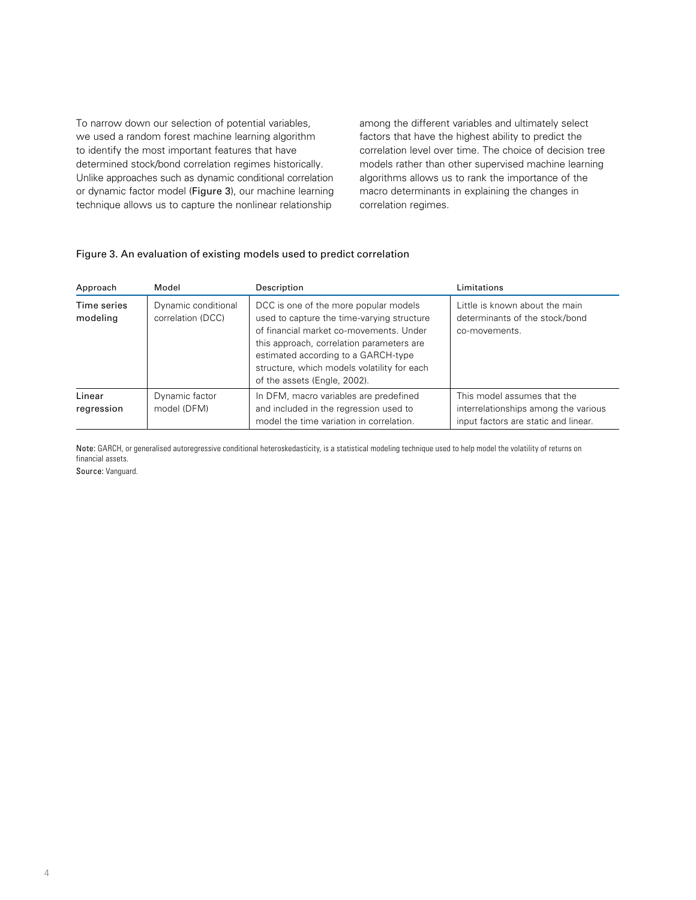To narrow down our selection of potential variables, we used a random forest machine learning algorithm to identify the most important features that have determined stock/bond correlation regimes historically. Unlike approaches such as dynamic conditional correlation or dynamic factor model (Figure 3), our machine learning technique allows us to capture the nonlinear relationship

among the different variables and ultimately select factors that have the highest ability to predict the correlation level over time. The choice of decision tree models rather than other supervised machine learning algorithms allows us to rank the importance of the macro determinants in explaining the changes in correlation regimes.

## Figure 3. An evaluation of existing models used to predict correlation

| Approach                | Model                                    | Description                                                                                                                                                                                                                                                                                       | Limitations                                                                                                 |
|-------------------------|------------------------------------------|---------------------------------------------------------------------------------------------------------------------------------------------------------------------------------------------------------------------------------------------------------------------------------------------------|-------------------------------------------------------------------------------------------------------------|
| Time series<br>modeling | Dynamic conditional<br>correlation (DCC) | DCC is one of the more popular models<br>used to capture the time-varying structure<br>of financial market co-movements. Under<br>this approach, correlation parameters are<br>estimated according to a GARCH-type<br>structure, which models volatility for each<br>of the assets (Engle, 2002). | Little is known about the main<br>determinants of the stock/bond<br>co-movements.                           |
| Linear<br>regression    | Dynamic factor<br>model (DFM)            | In DFM, macro variables are predefined<br>and included in the regression used to<br>model the time variation in correlation.                                                                                                                                                                      | This model assumes that the<br>interrelationships among the various<br>input factors are static and linear. |

Note: GARCH, or generalised autoregressive conditional heteroskedasticity, is a statistical modeling technique used to help model the volatility of returns on financial assets.

Source: Vanguard.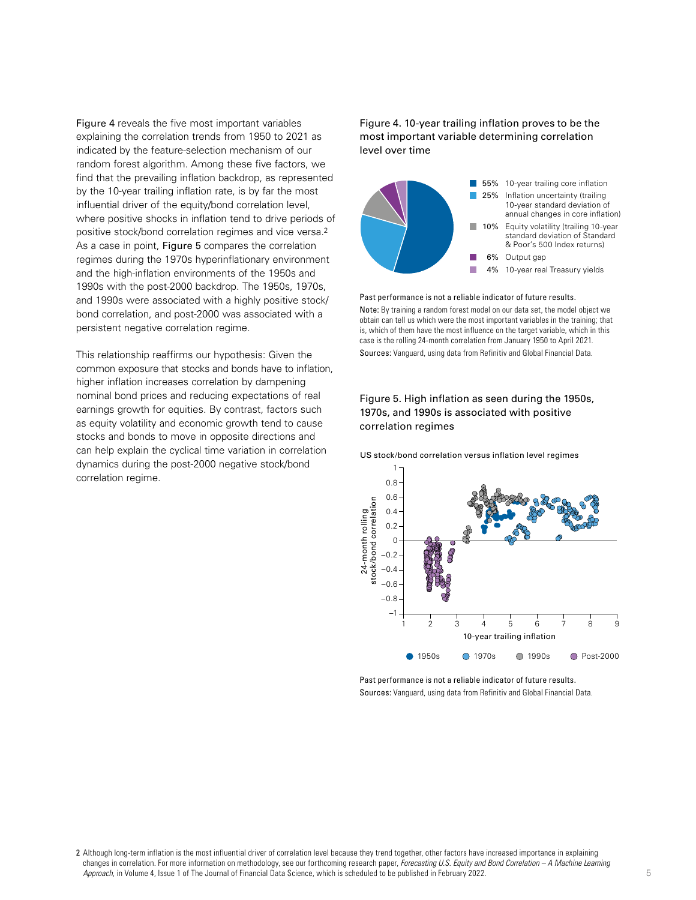Figure 4 reveals the five most important variables explaining the correlation trends from 1950 to 2021 as indicated by the feature-selection mechanism of our random forest algorithm. Among these five factors, we find that the prevailing inflation backdrop, as represented by the 10-year trailing inflation rate, is by far the most influential driver of the equity/bond correlation level, where positive shocks in inflation tend to drive periods of positive stock/bond correlation regimes and vice versa.2 As a case in point, Figure 5 compares the correlation regimes during the 1970s hyperinflationary environment and the high-inflation environments of the 1950s and 1990s with the post-2000 backdrop. The 1950s, 1970s, and 1990s were associated with a highly positive stock/ bond correlation, and post-2000 was associated with a persistent negative correlation regime.

This relationship reaffirms our hypothesis: Given the common exposure that stocks and bonds have to inflation, higher inflation increases correlation by dampening nominal bond prices and reducing expectations of real earnings growth for equities. By contrast, factors such as equity volatility and economic growth tend to cause stocks and bonds to move in opposite directions and can help explain the cyclical time variation in correlation dynamics during the post-2000 negative stock/bond correlation regime.

Figure 4. 10-year trailing inflation proves to be the most important variable determining correlation level over time



Past performance is not a reliable indicator of future results. Note: By training a random forest model on our data set, the model object we obtain can tell us which were the most important variables in the training; that is, which of them have the most influence on the target variable, which in this case is the rolling 24-month correlation from January 1950 to April 2021. Sources: Vanguard, using data from Refinitiv and Global Financial Data.

## Figure 5. High inflation as seen during the 1950s, 1970s, and 1990s is associated with positive correlation regimes

US stock/bond correlation versus inflation level regimes



Past performance is not a reliable indicator of future results.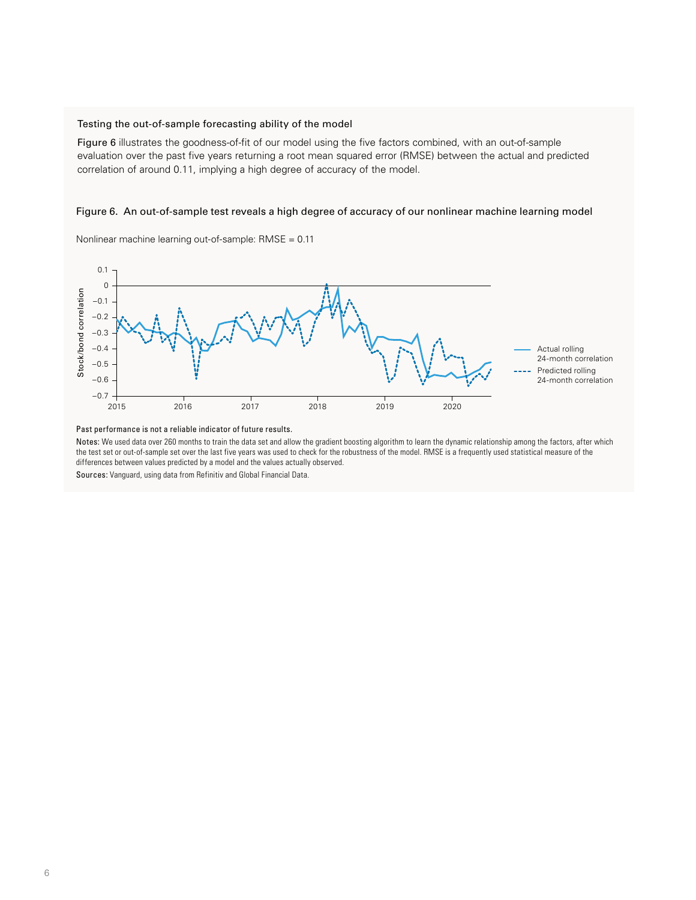#### Testing the out-of-sample forecasting ability of the model

Figure 6 illustrates the goodness-of-fit of our model using the five factors combined, with an out-of-sample evaluation over the past five years returning a root mean squared error (RMSE) between the actual and predicted correlation of around 0.11, implying a high degree of accuracy of the model.

### Figure 6. An out-of-sample test reveals a high degree of accuracy of our nonlinear machine learning model

Nonlinear machine learning out-of-sample: RMSE = 0.11



Past performance is not a reliable indicator of future results.

Notes: We used data over 260 months to train the data set and allow the gradient boosting algorithm to learn the dynamic relationship among the factors, after which the test set or out-of-sample set over the last five years was used to check for the robustness of the model. RMSE is a frequently used statistical measure of the differences between values predicted by a model and the values actually observed.

Sources: Vanguard, using data from Refinitiv and Global Financial Data.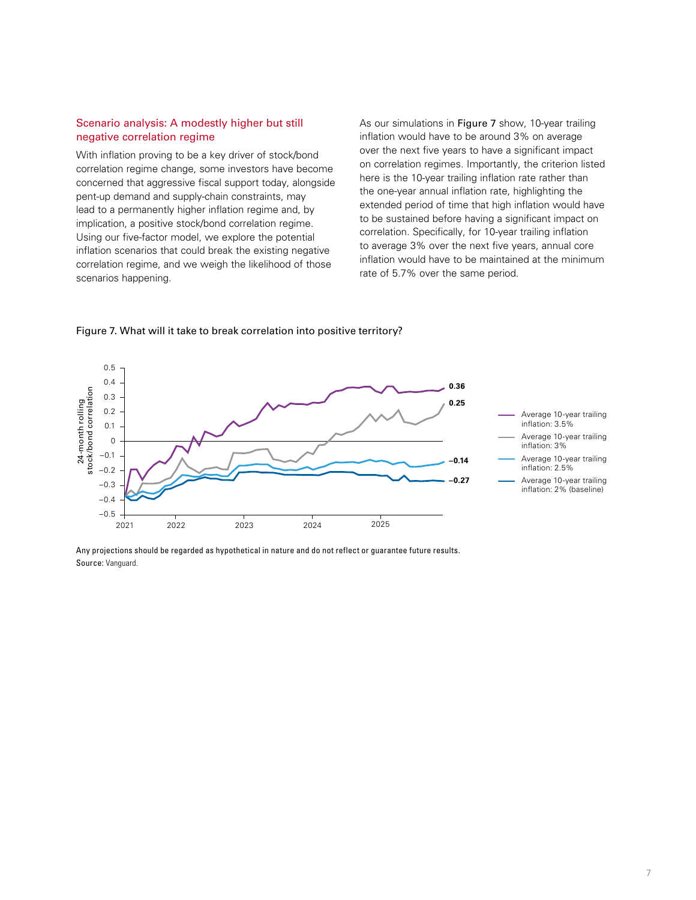### Scenario analysis: A modestly higher but still negative correlation regime

With inflation proving to be a key driver of stock/bond correlation regime change, some investors have become concerned that aggressive fiscal support today, alongside pent-up demand and supply-chain constraints, may lead to a permanently higher inflation regime and, by implication, a positive stock/bond correlation regime. Using our five-factor model, we explore the potential inflation scenarios that could break the existing negative correlation regime, and we weigh the likelihood of those scenarios happening.

As our simulations in Figure 7 show, 10-year trailing inflation would have to be around 3% on average over the next five years to have a significant impact on correlation regimes. Importantly, the criterion listed here is the 10-year trailing inflation rate rather than the one-year annual inflation rate, highlighting the extended period of time that high inflation would have to be sustained before having a significant impact on correlation. Specifically, for 10-year trailing inflation to average 3% over the next five years, annual core inflation would have to be maintained at the minimum rate of 5.7% over the same period.

Source: Vanguard.<br>  $\frac{1}{\sqrt{2}}$ <br>  $\frac{1}{\sqrt{2}}$ <br>  $\frac{1}{\sqrt{2}}$ <br>  $\frac{1}{\sqrt{2}}$ <br>  $\frac{1}{\sqrt{2}}$ <br>  $\frac{-0.2}{-0.4}$ <br>  $\frac{-0.5}{2021}$ <br>
Any projections s<br>
Source: Vanguard. 2021 2022 2023 2024 2025 –0.5 –0.4 –0.3 –0.2 –0.1 0 0.1 0.2 0.3 0.4 0.5 **0.36 0.25 –0.14 –0.27** Average 10-year trailing inflation: 3.5% Average 10-year trailing inflation: 3% Average 10-year trailing inflation: 2.5% Average 10-year trailing inflation: 2% (baseline)

Figure 7. What will it take to break correlation into positive territory?

Any projections should be regarded as hypothetical in nature and do not reflect or guarantee future results.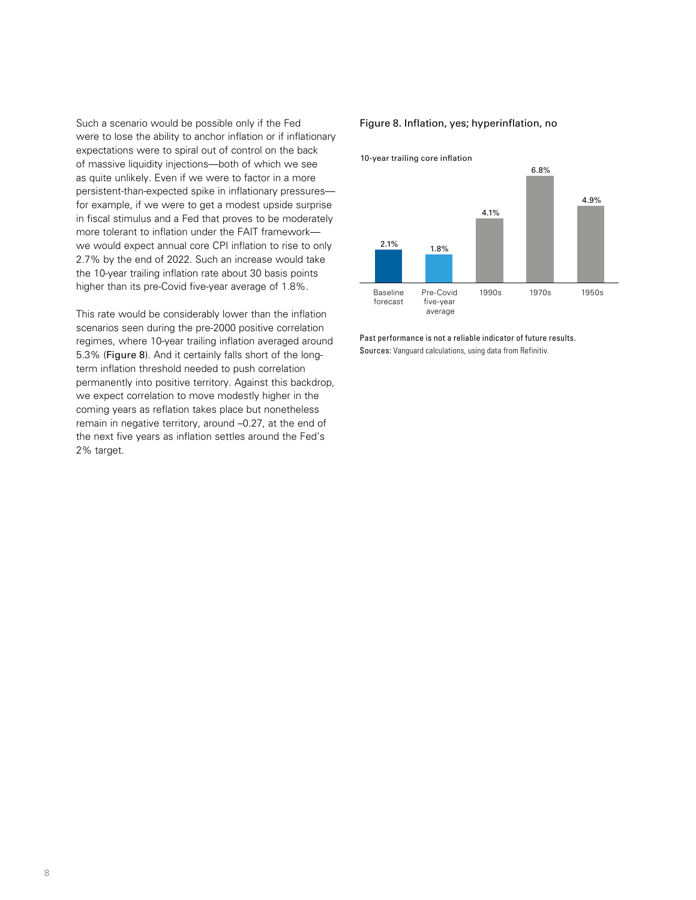Such a scenario would be possible only if the Fed were to lose the ability to anchor inflation or if inflationary expectations were to spiral out of control on the back of massive liquidity injections—both of which we see as quite unlikely. Even if we were to factor in a more persistent-than-expected spike in inflationary pressures for example, if we were to get a modest upside surprise in fiscal stimulus and a Fed that proves to be moderately more tolerant to inflation under the FAIT framework we would expect annual core CPI inflation to rise to only 2.7% by the end of 2022. Such an increase would take the 10-year trailing inflation rate about 30 basis points higher than its pre-Covid five-year average of 1.8%.

This rate would be considerably lower than the inflation scenarios seen during the pre-2000 positive correlation regimes, where 10-year trailing inflation averaged around 5.3% (Figure 8). And it certainly falls short of the longterm inflation threshold needed to push correlation permanently into positive territory. Against this backdrop, we expect correlation to move modestly higher in the coming years as reflation takes place but nonetheless remain in negative territory, around –0.27, at the end of the next five years as inflation settles around the Fed's 2% target.

#### Figure 8. Inflation, yes; hyperinflation, no

10-year trailing core inflation



Past performance is not a reliable indicator of future results. Sources: Vanguard calculations, using data from Refinitiv.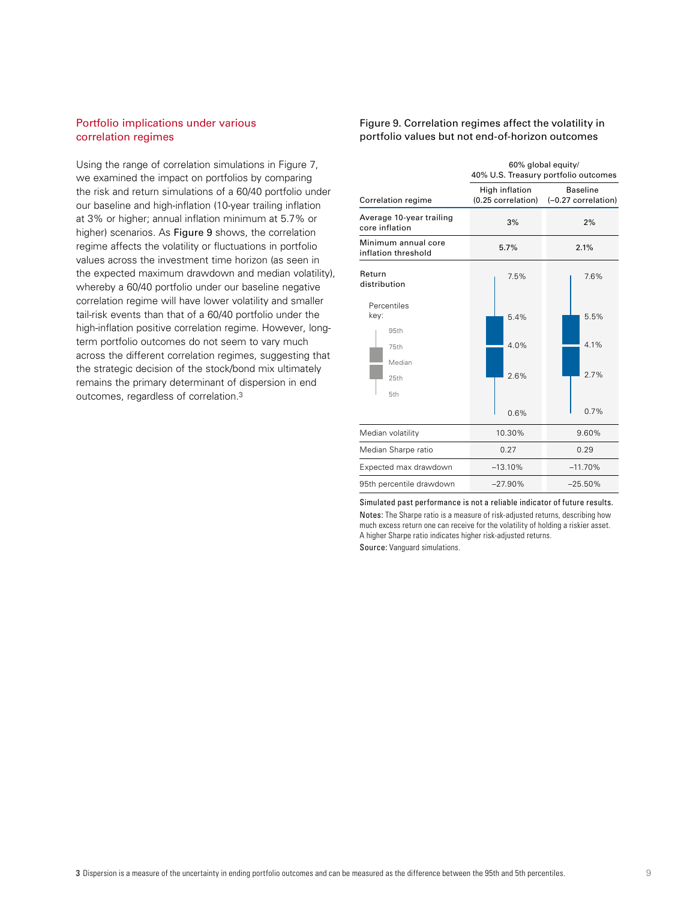## Portfolio implications under various correlation regimes

Using the range of correlation simulations in Figure 7, we examined the impact on portfolios by comparing the risk and return simulations of a 60/40 portfolio under our baseline and high-inflation (10-year trailing inflation at 3% or higher; annual inflation minimum at 5.7% or higher) scenarios. As Figure 9 shows, the correlation regime affects the volatility or fluctuations in portfolio values across the investment time horizon (as seen in the expected maximum drawdown and median volatility), whereby a 60/40 portfolio under our baseline negative correlation regime will have lower volatility and smaller tail-risk events than that of a 60/40 portfolio under the high-inflation positive correlation regime. However, longterm portfolio outcomes do not seem to vary much across the different correlation regimes, suggesting that the strategic decision of the stock/bond mix ultimately remains the primary determinant of dispersion in end outcomes, regardless of correlation.3

#### Figure 9. Correlation regimes affect the volatility in portfolio values but not end-of-horizon outcomes

|                                            | 60% global equity/<br>40% U.S. Treasury portfolio outcomes |                                        |  |
|--------------------------------------------|------------------------------------------------------------|----------------------------------------|--|
| Correlation regime                         | High inflation<br>(0.25 correlation)                       | <b>Baseline</b><br>(-0.27 correlation) |  |
| Average 10-year trailing<br>core inflation | 3%                                                         | 2%                                     |  |
| Minimum annual core<br>inflation threshold | 5.7%                                                       | 2.1%                                   |  |
| Return<br>distribution                     | 7.5%                                                       | 7.6%                                   |  |
| Percentiles<br>key:                        | 5.4%                                                       | 5.5%                                   |  |
| 95th<br>75th                               | 4.0%                                                       | 4.1%                                   |  |
| Median<br>25th                             | 2.6%                                                       | 2.7%                                   |  |
| 5th                                        | 0.6%                                                       | 0.7%                                   |  |
| Median volatility                          | 10.30%                                                     | 9.60%                                  |  |
| Median Sharpe ratio                        | 0.27                                                       | 0.29                                   |  |
| Expected max drawdown                      | $-13.10%$                                                  | $-11.70%$                              |  |
| 95th percentile drawdown                   | $-27.90%$                                                  | $-25.50%$                              |  |

Simulated past performance is not a reliable indicator of future results. Notes: The Sharpe ratio is a measure of risk-adjusted returns, describing how much excess return one can receive for the volatility of holding a riskier asset. A higher Sharpe ratio indicates higher risk-adjusted returns. Source: Vanguard simulations.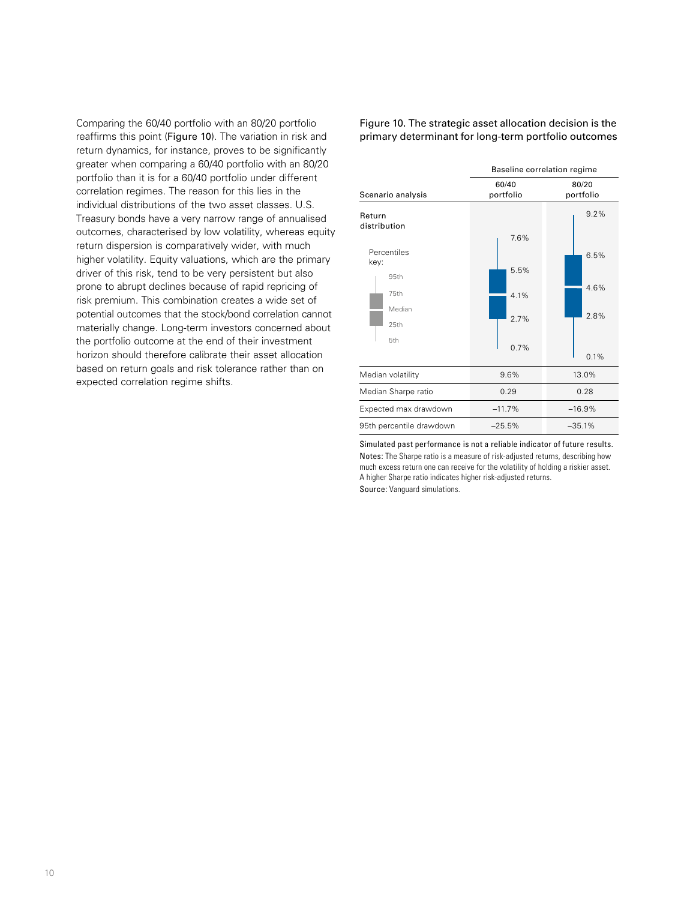Comparing the 60/40 portfolio with an 80/20 portfolio reaffirms this point (Figure 10). The variation in risk and return dynamics, for instance, proves to be significantly greater when comparing a 60/40 portfolio with an 80/20 portfolio than it is for a 60/40 portfolio under different correlation regimes. The reason for this lies in the individual distributions of the two asset classes. U.S. Treasury bonds have a very narrow range of annualised outcomes, characterised by low volatility, whereas equity return dispersion is comparatively wider, with much higher volatility. Equity valuations, which are the primary driver of this risk, tend to be very persistent but also prone to abrupt declines because of rapid repricing of risk premium. This combination creates a wide set of potential outcomes that the stock/bond correlation cannot materially change. Long-term investors concerned about the portfolio outcome at the end of their investment horizon should therefore calibrate their asset allocation based on return goals and risk tolerance rather than on expected correlation regime shifts.

### Figure 10. The strategic asset allocation decision is the primary determinant for long-term portfolio outcomes



Simulated past performance is not a reliable indicator of future results. Notes: The Sharpe ratio is a measure of risk-adjusted returns, describing how much excess return one can receive for the volatility of holding a riskier asset. A higher Sharpe ratio indicates higher risk-adjusted returns.

Source: Vanguard simulations.